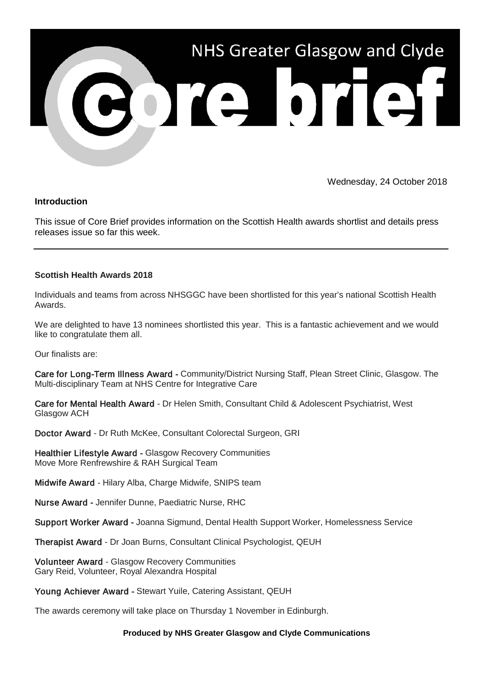

Wednesday, 24 October 2018

## **Introduction**

This issue of Core Brief provides information on the Scottish Health awards shortlist and details press releases issue so far this week.

## **Scottish Health Awards 2018**

Individuals and teams from across NHSGGC have been shortlisted for this year's national Scottish Health Awards.

We are delighted to have 13 nominees shortlisted this year. This is a fantastic achievement and we would like to congratulate them all.

Our finalists are:

Care for Long-Term Illness Award - Community/District Nursing Staff, Plean Street Clinic, Glasgow. The Multi-disciplinary Team at NHS Centre for Integrative Care

Care for Mental Health Award - Dr Helen Smith, Consultant Child & Adolescent Psychiatrist, West Glasgow ACH

Doctor Award - Dr Ruth McKee, Consultant Colorectal Surgeon, GRI

Healthier Lifestyle Award - Glasgow Recovery Communities Move More Renfrewshire & RAH Surgical Team

Midwife Award - Hilary Alba, Charge Midwife, SNIPS team

Nurse Award - Jennifer Dunne, Paediatric Nurse, RHC

Support Worker Award - Joanna Sigmund, Dental Health Support Worker, Homelessness Service

Therapist Award - Dr Joan Burns, Consultant Clinical Psychologist, QEUH

Volunteer Award - Glasgow Recovery Communities Gary Reid, Volunteer, Royal Alexandra Hospital

Young Achiever Award - Stewart Yuile, Catering Assistant, QEUH

The awards ceremony will take place on Thursday 1 November in Edinburgh.

## **Produced by NHS Greater Glasgow and Clyde Communications**